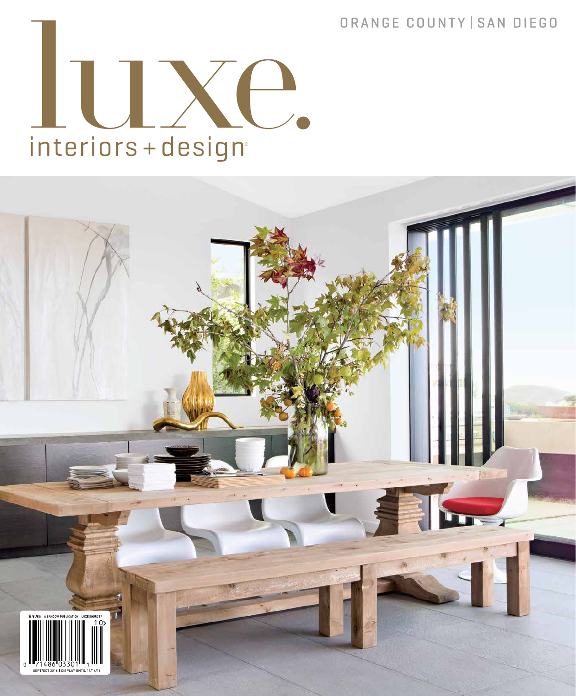## ORANGE COUNTY | SAN DIEGO



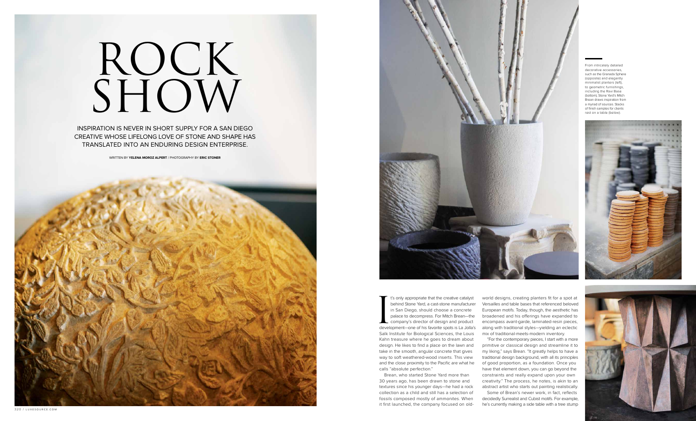Is only appropriate that the creative catalyst<br>behind Stone Yard, a cast-stone manufacturer<br>in San Diego, should choose a concrete<br>palace to decompress. For Mitch Brean—the<br>company's director of design and product<br>developm t's only appropriate that the creative catalyst behind Stone Yard, a cast-stone manufacturer in San Diego, should choose a concrete palace to decompress. For Mitch Brean—the company's director of design and product Salk Institute for Biological Sciences, the Louis Kahn treasure where he goes to dream about design. He likes to find a place on the lawn and take in the smooth, angular concrete that gives way to soft weathered-wood inserts. This view and the close proximity to the Pacific are what he calls "absolute perfection."

Brean, who started Stone Yard more than 30 years ago, has been drawn to stone and textures since his younger days—he had a rock collection as a child and still has a selection of fossils composed mostly of ammonites. When it first launched, the company focused on oldworld designs, creating planters fit for a spot at Versailles and table bases that referenced beloved European motifs. Today, though, the aesthetic has broadened and his offerings have expanded to encompass avant-garde, laminated-resin pieces, along with traditional styles—yielding an eclectic mix of traditional-meets-modern inventory.

"For the contemporary pieces, I start with a more primitive or classical design and streamline it to my liking," says Brean. "It greatly helps to have a traditional design background, with all its principles of good proportion, as a foundation. Once you have that element down, you can go beyond the constraints and really expand upon your own creativity." The process, he notes, is akin to an abstract artist who starts out painting realistically.

Some of Brean's newer work, in fact, reflects decidedly Surrealist and Cubist motifs. For example, he's currently making a side table with a tree stump



## ROCK SHOW

INSPIRATION IS NEVER IN SHORT SUPPLY FOR A SAN DIEGO CREATIVE WHOSE LIFELONG LOVE OF STONE AND SHAPE HAS TRANSLATED INTO AN ENDURING DESIGN ENTERPRISE.

WRITTEN BY **YELENA MOROZ ALPERT** / PHOTOGRAPHY BY **ERIC STONER**





From intricately detailed decorative accessories such as the Granada Sphere (opposite) and elegantly minimalist planters (left), to geometric furnishings, including the Ravi Base (bottom), Stone Yard's Mitch Brean draws inspiration from a myriad of sources. Stacks of finish samples for clients rest on a table (below).



320 / luxesource.com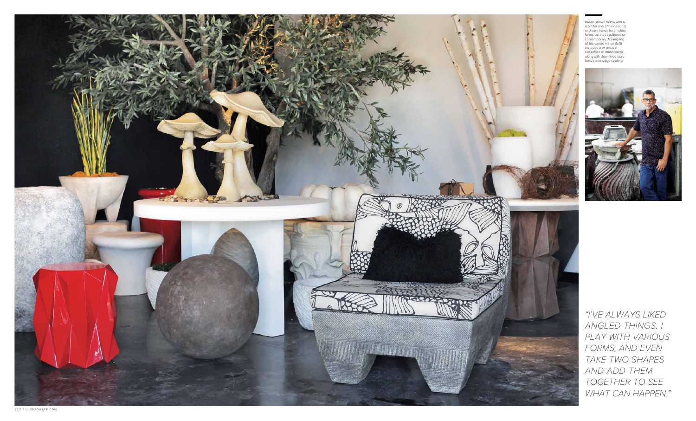Brean (shown below with a mold for one of his designs) eschews trends for timeless forms, be they traditional or contemporary. A sampling of his varied vision (left) includes a whimsical collection of mushrooms, along with clean-lined table bases and edgy seating.



"I'VE ALWAYS LIKED ANGLED THINGS. I PLAY WITH VARIOUS FORMS, AND EVEN TAKE TWO SHAPES AND ADD THEM TOGETHER TO SEE WHAT CAN HAPPEN."